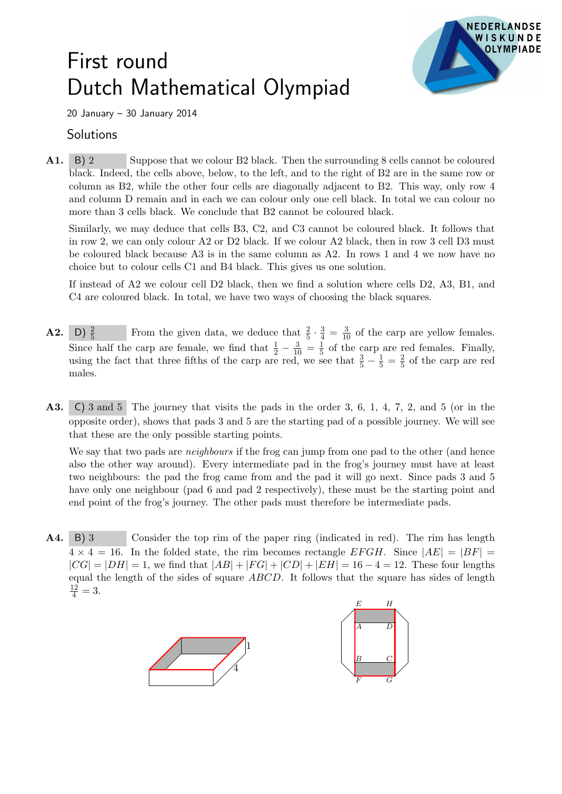## First round Dutch Mathematical Olympiad



20 January – 30 January 2014

## **Solutions**

A1. B) 2 Suppose that we colour B2 black. Then the surrounding 8 cells cannot be coloured black. Indeed, the cells above, below, to the left, and to the right of B2 are in the same row or column as B2, while the other four cells are diagonally adjacent to B2. This way, only row 4 and column D remain and in each we can colour only one cell black. In total we can colour no more than 3 cells black. We conclude that B2 cannot be coloured black.

Similarly, we may deduce that cells B3, C2, and C3 cannot be coloured black. It follows that in row 2, we can only colour A2 or D2 black. If we colour A2 black, then in row 3 cell D3 must be coloured black because A3 is in the same column as A2. In rows 1 and 4 we now have no choice but to colour cells C1 and B4 black. This gives us one solution.

If instead of A2 we colour cell D2 black, then we find a solution where cells D2, A3, B1, and C4 are coloured black. In total, we have two ways of choosing the black squares.

- **A2.** D)  $\frac{2}{5}$ From the given data, we deduce that  $\frac{2}{5} \cdot \frac{3}{4} = \frac{3}{10}$  of the carp are yellow females. Since half the carp are female, we find that  $\frac{1}{2} - \frac{3}{10} = \frac{1}{5}$  $\frac{1}{5}$  of the carp are red females. Finally, using the fact that three fifths of the carp are red, we see that  $\frac{3}{5} - \frac{1}{5} = \frac{2}{5}$  $\frac{2}{5}$  of the carp are red males.
- A3. C) 3 and 5 The journey that visits the pads in the order 3, 6, 1, 4, 7, 2, and 5 (or in the opposite order), shows that pads 3 and 5 are the starting pad of a possible journey. We will see that these are the only possible starting points.

We say that two pads are *neighbours* if the frog can jump from one pad to the other (and hence also the other way around). Every intermediate pad in the frog's journey must have at least two neighbours: the pad the frog came from and the pad it will go next. Since pads 3 and 5 have only one neighbour (pad 6 and pad 2 respectively), these must be the starting point and end point of the frog's journey. The other pads must therefore be intermediate pads.

A4. B) 3 Consider the top rim of the paper ring (indicated in red). The rim has length  $4 \times 4 = 16$ . In the folded state, the rim becomes rectangle EFGH. Since  $|AE| = |BF|$  $|CG| = |DH| = 1$ , we find that  $|AB| + |FG| + |CD| + |EH| = 16 - 4 = 12$ . These four lengths equal the length of the sides of square ABCD. It follows that the square has sides of length  $\frac{12}{4} = 3.$ 

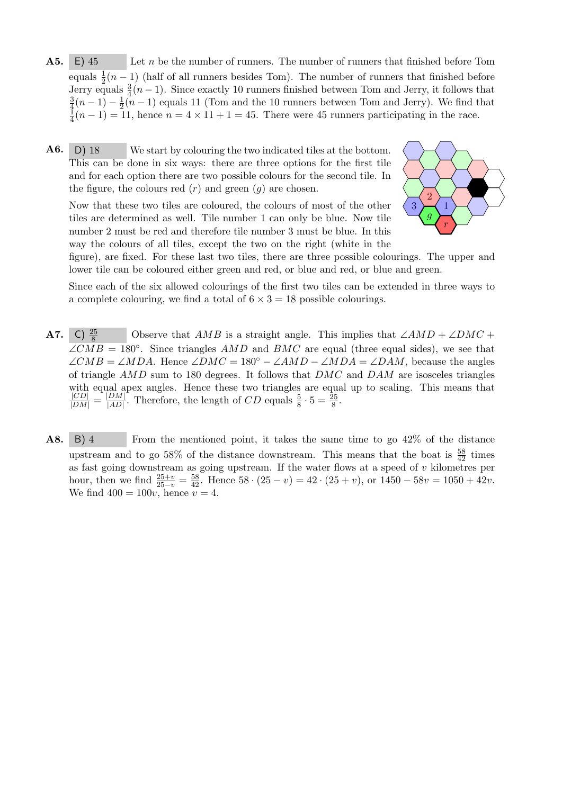- A5. E) 45 Let *n* be the number of runners. The number of runners that finished before Tom equals  $\frac{1}{2}(n-1)$  (half of all runners besides Tom). The number of runners that finished before Jerry equals  $\frac{3}{4}(n-1)$ . Since exactly 10 runners finished between Tom and Jerry, it follows that 3  $\frac{3}{4}(n-1)-\frac{1}{2}$  $\frac{1}{2}(n-1)$  equals 11 (Tom and the 10 runners between Tom and Jerry). We find that 1  $\frac{1}{4}(n-1) = 11$ , hence  $n = 4 \times 11 + 1 = 45$ . There were 45 runners participating in the race.
- $\mathbf{A6.}$  D) 18 We start by colouring the two indicated tiles at the bottom. This can be done in six ways: there are three options for the first tile and for each option there are two possible colours for the second tile. In the figure, the colours red  $(r)$  and green  $(g)$  are chosen.

Now that these two tiles are coloured, the colours of most of the other tiles are determined as well. Tile number 1 can only be blue. Now tile number 2 must be red and therefore tile number 3 must be blue. In this way the colours of all tiles, except the two on the right (white in the



figure), are fixed. For these last two tiles, there are three possible colourings. The upper and lower tile can be coloured either green and red, or blue and red, or blue and green.

Since each of the six allowed colourings of the first two tiles can be extended in three ways to a complete colouring, we find a total of  $6 \times 3 = 18$  possible colourings.

- **A7.** C)  $\frac{25}{8}$ Observe that  $AMB$  is a straight angle. This implies that  $\angle AMD + \angle DMC +$  $\angle CMB = 180^{\circ}$ . Since triangles AMD and BMC are equal (three equal sides), we see that  $\angle CMB = \angle MDA$ . Hence  $\angle DMC = 180^{\circ} - \angle AMD - \angle MDA = \angle DAM$ , because the angles of triangle  $AMD$  sum to 180 degrees. It follows that  $DMC$  and  $DAM$  are isosceles triangles with equal apex angles. Hence these two triangles are equal up to scaling. This means that  $\frac{|CD|}{|DM|} = \frac{|DM|}{|AD|}$  $\frac{DM}{|AD|}$ . Therefore, the length of CD equals  $\frac{5}{8} \cdot 5 = \frac{25}{8}$ .
- A8. B) 4 From the mentioned point, it takes the same time to go 42\% of the distance upstream and to go 58% of the distance downstream. This means that the boat is  $\frac{58}{42}$  times as fast going downstream as going upstream. If the water flows at a speed of  $v$  kilometres per hour, then we find  $\frac{25+v}{25-v} = \frac{58}{42}$ . Hence  $58 \cdot (25 - v) = 42 \cdot (25 + v)$ , or  $1450 - 58v = 1050 + 42v$ . We find  $400 = 100v$ , hence  $v = 4$ .